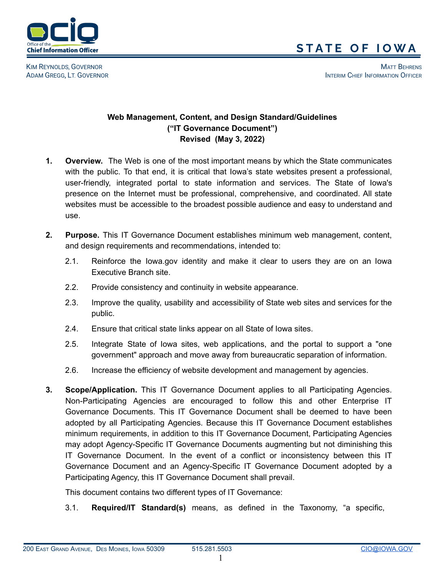

KIM REYNOLDS, GOVERNOR MATT BEHRENS AND THE SERIES OF THE SERIES OF THE SERIES OF THE SERIES OF THE SERIES OF THE SERIES OF THE SERIES OF THE SERIES OF THE SERIES OF THE SERIES OF THE SERIES OF THE SERIES OF THE SERIES OF ADAM GREGG, LT. GOVERNOR INTERIM CHIEF INFORMATION OFFICER

## **Web Management, Content, and Design Standard/Guidelines ("IT Governance Document") Revised (May 3, 2022)**

- **1. Overview.** The Web is one of the most important means by which the State communicates with the public. To that end, it is critical that Iowa's state websites present a professional, user-friendly, integrated portal to state information and services. The State of Iowa's presence on the Internet must be professional, comprehensive, and coordinated. All state websites must be accessible to the broadest possible audience and easy to understand and use.
- **2. Purpose.** This IT Governance Document establishes minimum web management, content, and design requirements and recommendations, intended to:
	- 2.1. Reinforce the Iowa.gov identity and make it clear to users they are on an Iowa Executive Branch site.
	- 2.2. Provide consistency and continuity in website appearance.
	- 2.3. Improve the quality, usability and accessibility of State web sites and services for the public.
	- 2.4. Ensure that critical state links appear on all State of Iowa sites.
	- 2.5. Integrate State of Iowa sites, web applications, and the portal to support a "one government" approach and move away from bureaucratic separation of information.
	- 2.6. Increase the efficiency of website development and management by agencies.
- **3. Scope/Application.** This IT Governance Document applies to all Participating Agencies. Non-Participating Agencies are encouraged to follow this and other Enterprise IT Governance Documents. This IT Governance Document shall be deemed to have been adopted by all Participating Agencies. Because this IT Governance Document establishes minimum requirements, in addition to this IT Governance Document, Participating Agencies may adopt Agency-Specific IT Governance Documents augmenting but not diminishing this IT Governance Document. In the event of a conflict or inconsistency between this IT Governance Document and an Agency-Specific IT Governance Document adopted by a Participating Agency, this IT Governance Document shall prevail.

This document contains two different types of IT Governance:

3.1. **Required/IT Standard(s)** means, as defined in the Taxonomy, "a specific,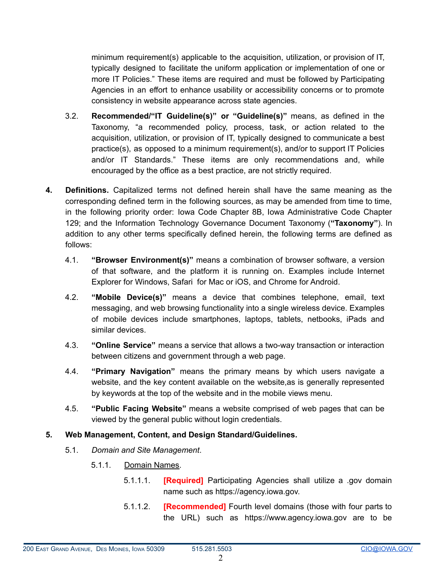minimum requirement(s) applicable to the acquisition, utilization, or provision of IT, typically designed to facilitate the uniform application or implementation of one or more IT Policies." These items are required and must be followed by Participating Agencies in an effort to enhance usability or accessibility concerns or to promote consistency in website appearance across state agencies.

- 3.2. **Recommended/"IT Guideline(s)" or "Guideline(s)"** means, as defined in the Taxonomy, "a recommended policy, process, task, or action related to the acquisition, utilization, or provision of IT, typically designed to communicate a best practice(s), as opposed to a minimum requirement(s), and/or to support IT Policies and/or IT Standards." These items are only recommendations and, while encouraged by the office as a best practice, are not strictly required.
- **4. Definitions.** Capitalized terms not defined herein shall have the same meaning as the corresponding defined term in the following sources, as may be amended from time to time, in the following priority order: Iowa Code Chapter 8B, Iowa Administrative Code Chapter 129; and the Information Technology Governance Document Taxonomy (**"Taxonomy"**). In addition to any other terms specifically defined herein, the following terms are defined as follows:
	- 4.1. **"Browser Environment(s)"** means a combination of browser software, a version of that software, and the platform it is running on. Examples include Internet Explorer for Windows, Safari for Mac or iOS, and Chrome for Android.
	- 4.2. **"Mobile Device(s)"** means a device that combines telephone, email, text messaging, and web browsing functionality into a single wireless device. Examples of mobile devices include smartphones, laptops, tablets, netbooks, iPads and similar devices.
	- 4.3. **"Online Service"** means a service that allows a two-way transaction or interaction between citizens and government through a web page.
	- 4.4. **"Primary Navigation"** means the primary means by which users navigate a website, and the key content available on the website,as is generally represented by keywords at the top of the website and in the mobile views menu.
	- 4.5. **"Public Facing Website"** means a website comprised of web pages that can be viewed by the general public without login credentials.

## **5. Web Management, Content, and Design Standard/Guidelines.**

- 5.1. *Domain and Site Management*.
	- 5.1.1. Domain Names.
		- 5.1.1.1. **[Required]** Participating Agencies shall utilize a .gov domain name such as https://agency.iowa.gov.
		- 5.1.1.2. **[Recommended]** Fourth level domains (those with four parts to the URL) such as https://www.agency.iowa.gov are to be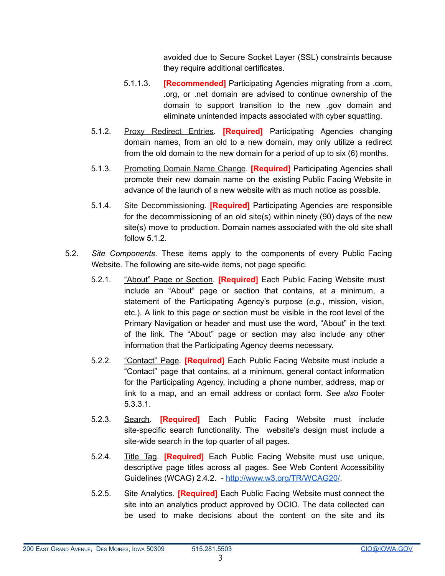avoided due to Secure Socket Layer (SSL) constraints because they require additional certificates.

- 5.1.1.3. **[Recommended]** Participating Agencies migrating from a .com, .org, or .net domain are advised to continue ownership of the domain to support transition to the new .gov domain and eliminate unintended impacts associated with cyber squatting.
- 5.1.2. Proxy Redirect Entries. **[Required]** Participating Agencies changing domain names, from an old to a new domain, may only utilize a redirect from the old domain to the new domain for a period of up to six (6) months.
- 5.1.3. Promoting Domain Name Change. **[Required]** Participating Agencies shall promote their new domain name on the existing Public Facing Website in advance of the launch of a new website with as much notice as possible.
- 5.1.4. Site Decommissioning. **[Required]** Participating Agencies are responsible for the decommissioning of an old site(s) within ninety (90) days of the new site(s) move to production. Domain names associated with the old site shall follow 5.1.2.
- 5.2. *Site Components*. These items apply to the components of every Public Facing Website. The following are site-wide items, not page specific.
	- 5.2.1. "About" Page or Section. **[Required]** Each Public Facing Website must include an "About" page or section that contains, at a minimum, a statement of the Participating Agency's purpose (*e.g.*, mission, vision, etc.). A link to this page or section must be visible in the root level of the Primary Navigation or header and must use the word, "About" in the text of the link. The "About" page or section may also include any other information that the Participating Agency deems necessary.
	- 5.2.2. "Contact" Page. **[Required]** Each Public Facing Website must include a "Contact" page that contains, at a minimum, general contact information for the Participating Agency, including a phone number, address, map or link to a map, and an email address or contact form. *See also* Footer 5.3.3.1.
	- 5.2.3. Search. **[Required]** Each Public Facing Website must include site-specific search functionality. The website's design must include a site-wide search in the top quarter of all pages.
	- 5.2.4. Title Tag. **[Required]** Each Public Facing Website must use unique, descriptive page titles across all pages. See Web Content Accessibility Guidelines (WCAG) 2.4.2. - [http://www.w3.org/TR/WCAG20/.](http://www.w3.org/TR/WCAG20/)
	- 5.2.5. Site Analytics. **[Required]** Each Public Facing Website must connect the site into an analytics product approved by OCIO. The data collected can be used to make decisions about the content on the site and its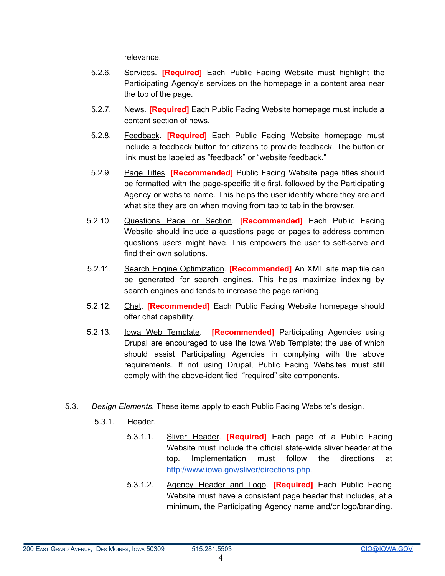relevance.

- 5.2.6. Services. **[Required]** Each Public Facing Website must highlight the Participating Agency's services on the homepage in a content area near the top of the page.
- 5.2.7. News. **[Required]** Each Public Facing Website homepage must include a content section of news.
- 5.2.8. Feedback. **[Required]** Each Public Facing Website homepage must include a feedback button for citizens to provide feedback. The button or link must be labeled as "feedback" or "website feedback."
- 5.2.9. Page Titles. **[Recommended]** Public Facing Website page titles should be formatted with the page-specific title first, followed by the Participating Agency or website name. This helps the user identify where they are and what site they are on when moving from tab to tab in the browser.
- 5.2.10. Questions Page or Section. **[Recommended]** Each Public Facing Website should include a questions page or pages to address common questions users might have. This empowers the user to self-serve and find their own solutions.
- 5.2.11. Search Engine Optimization. **[Recommended]** An XML site map file can be generated for search engines. This helps maximize indexing by search engines and tends to increase the page ranking.
- 5.2.12. Chat. **[Recommended]** Each Public Facing Website homepage should offer chat capability.
- 5.2.13. Iowa Web Template. **[Recommended]** Participating Agencies using Drupal are encouraged to use the Iowa Web Template; the use of which should assist Participating Agencies in complying with the above requirements. If not using Drupal, Public Facing Websites must still comply with the above-identified "required" site components.
- 5.3. *Design Elements.* These items apply to each Public Facing Website's design.
	- 5.3.1. Header.
		- 5.3.1.1. Sliver Header. **[Required]** Each page of a Public Facing Website must include the official state-wide sliver header at the top. Implementation must follow the directions at [http://www.iowa.gov/sliver/directions.php.](http://www.iowa.gov/sliver/directions.php)
		- 5.3.1.2. Agency Header and Logo. **[Required]** Each Public Facing Website must have a consistent page header that includes, at a minimum, the Participating Agency name and/or logo/branding.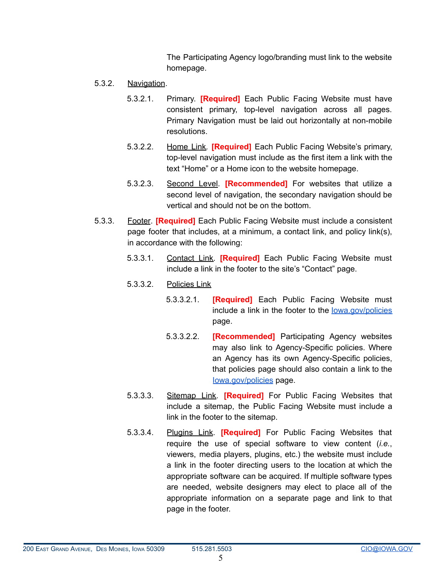The Participating Agency logo/branding must link to the website homepage.

- 5.3.2. Navigation.
	- 5.3.2.1. Primary. **[Required]** Each Public Facing Website must have consistent primary, top-level navigation across all pages. Primary Navigation must be laid out horizontally at non-mobile resolutions.
	- 5.3.2.2. Home Link*.* **[Required]** Each Public Facing Website's primary, top-level navigation must include as the first item a link with the text "Home" or a Home icon to the website homepage.
	- 5.3.2.3. Second Level. **[Recommended]** For websites that utilize a second level of navigation, the secondary navigation should be vertical and should not be on the bottom.
- 5.3.3. Footer. **[Required]** Each Public Facing Website must include a consistent page footer that includes, at a minimum, a contact link, and policy link(s), in accordance with the following:
	- 5.3.3.1. Contact Link. **[Required]** Each Public Facing Website must include a link in the footer to the site's "Contact" page.
	- 5.3.3.2. Policies Link
		- 5.3.3.2.1. **[Required]** Each Public Facing Website must include a link in the footer to the lowa.gov/policies page.
		- 5.3.3.2.2. **[Recommended]** Participating Agency websites may also link to Agency-Specific policies. Where an Agency has its own Agency-Specific policies, that policies page should also contain a link to the [Iowa.gov/policies](http://iowa.gov/policies) page.
	- 5.3.3.3. Sitemap Link. **[Required]** For Public Facing Websites that include a sitemap, the Public Facing Website must include a link in the footer to the sitemap.
	- 5.3.3.4. Plugins Link. **[Required]** For Public Facing Websites that require the use of special software to view content (*i.e.*, viewers, media players, plugins, etc.) the website must include a link in the footer directing users to the location at which the appropriate software can be acquired. If multiple software types are needed, website designers may elect to place all of the appropriate information on a separate page and link to that page in the footer.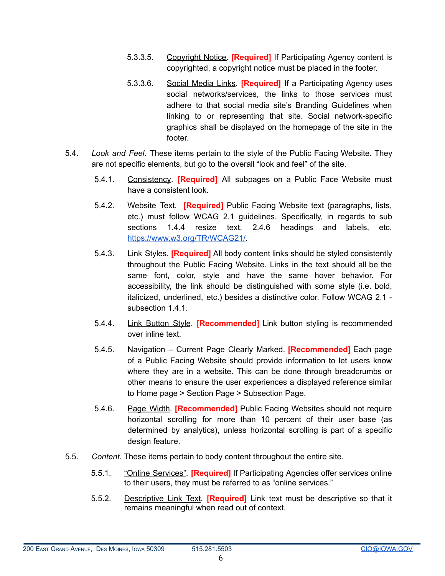- 5.3.3.5. Copyright Notice. **[Required]** If Participating Agency content is copyrighted, a copyright notice must be placed in the footer.
- 5.3.3.6. Social Media Links. **[Required]** If a Participating Agency uses social networks/services, the links to those services must adhere to that social media site's Branding Guidelines when linking to or representing that site. Social network-specific graphics shall be displayed on the homepage of the site in the footer.
- 5.4. *Look and Feel.* These items pertain to the style of the Public Facing Website. They are not specific elements, but go to the overall "look and feel" of the site.
	- 5.4.1. Consistency. **[Required]** All subpages on a Public Face Website must have a consistent look.
	- 5.4.2. Website Text. **[Required]** Public Facing Website text (paragraphs, lists, etc.) must follow WCAG 2.1 guidelines. Specifically, in regards to sub sections 1.4.4 resize text, 2.4.6 headings and labels, etc. [https://www.w3.org/TR/WCAG21/.](https://www.w3.org/TR/WCAG21/)
	- 5.4.3. Link Styles. **[Required]** All body content links should be styled consistently throughout the Public Facing Website. Links in the text should all be the same font, color, style and have the same hover behavior. For accessibility, the link should be distinguished with some style (i.e. bold, italicized, underlined, etc.) besides a distinctive color. Follow WCAG 2.1 subsection 1.4.1.
	- 5.4.4. Link Button Style. **[Recommended]** Link button styling is recommended over inline text.
	- 5.4.5. Navigation Current Page Clearly Marked. **[Recommended]** Each page of a Public Facing Website should provide information to let users know where they are in a website. This can be done through breadcrumbs or other means to ensure the user experiences a displayed reference similar to Home page > Section Page > Subsection Page.
	- 5.4.6. Page Width. **[Recommended]** Public Facing Websites should not require horizontal scrolling for more than 10 percent of their user base (as determined by analytics), unless horizontal scrolling is part of a specific design feature.
- 5.5. *Content*. These items pertain to body content throughout the entire site.
	- 5.5.1. "Online Services". **[Required]** If Participating Agencies offer services online to their users, they must be referred to as "online services."
	- 5.5.2. Descriptive Link Text. **[Required]** Link text must be descriptive so that it remains meaningful when read out of context.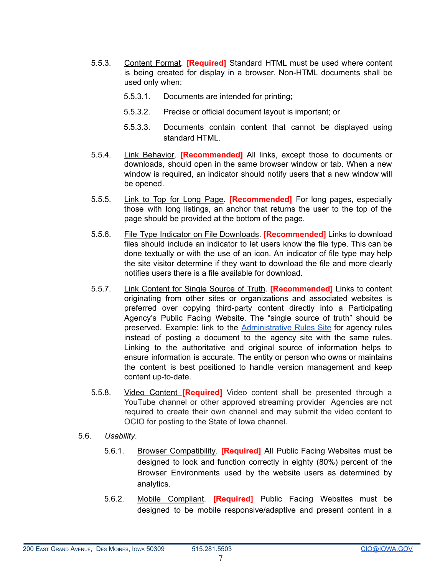- 5.5.3. Content Format. **[Required]** Standard HTML must be used where content is being created for display in a browser. Non-HTML documents shall be used only when:
	- 5.5.3.1. Documents are intended for printing;
	- 5.5.3.2. Precise or official document layout is important; or
	- 5.5.3.3. Documents contain content that cannot be displayed using standard HTML.
- 5.5.4. Link Behavior. **[Recommended]** All links, except those to documents or downloads, should open in the same browser window or tab. When a new window is required, an indicator should notify users that a new window will be opened.
- 5.5.5. Link to Top for Long Page. **[Recommended]** For long pages, especially those with long listings, an anchor that returns the user to the top of the page should be provided at the bottom of the page.
- 5.5.6. File Type Indicator on File Downloads. **[Recommended]** Links to download files should include an indicator to let users know the file type. This can be done textually or with the use of an icon. An indicator of file type may help the site visitor determine if they want to download the file and more clearly notifies users there is a file available for download.
- 5.5.7. Link Content for Single Source of Truth. **[Recommended]** Links to content originating from other sites or organizations and associated websites is preferred over copying third-party content directly into a Participating Agency's Public Facing Website. The "single source of truth" should be preserved. Example: link to the [Administrative](https://rules.iowa.gov/) Rules Site for agency rules instead of posting a document to the agency site with the same rules. Linking to the authoritative and original source of information helps to ensure information is accurate. The entity or person who owns or maintains the content is best positioned to handle version management and keep content up-to-date.
- 5.5.8. Video Content **[Required]** Video content shall be presented through a YouTube channel or other approved streaming provider Agencies are not required to create their own channel and may submit the video content to OCIO for posting to the State of Iowa channel.
- 5.6. *Usability*.
	- 5.6.1. Browser Compatibility. **[Required]** All Public Facing Websites must be designed to look and function correctly in eighty (80%) percent of the Browser Environments used by the website users as determined by analytics.
	- 5.6.2. Mobile Compliant. **[Required]** Public Facing Websites must be designed to be mobile responsive/adaptive and present content in a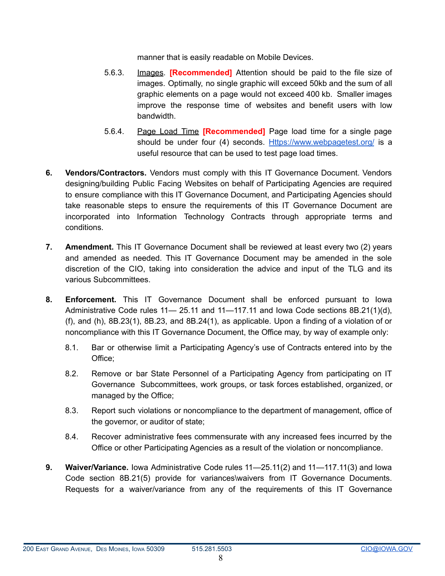manner that is easily readable on Mobile Devices.

- 5.6.3. Images. **[Recommended]** Attention should be paid to the file size of images. Optimally, no single graphic will exceed 50kb and the sum of all graphic elements on a page would not exceed 400 kb. Smaller images improve the response time of websites and benefit users with low bandwidth.
- 5.6.4. Page Load Time **[Recommended]** Page load time for a single page should be under four (4) seconds. [Https://www.webpagetest.org/](https://www.webpagetest.org/) is a useful resource that can be used to test page load times.
- **6. Vendors/Contractors.** Vendors must comply with this IT Governance Document. Vendors designing/building Public Facing Websites on behalf of Participating Agencies are required to ensure compliance with this IT Governance Document, and Participating Agencies should take reasonable steps to ensure the requirements of this IT Governance Document are incorporated into Information Technology Contracts through appropriate terms and conditions.
- **7. Amendment.** This IT Governance Document shall be reviewed at least every two (2) years and amended as needed. This IT Governance Document may be amended in the sole discretion of the CIO, taking into consideration the advice and input of the TLG and its various Subcommittees.
- **8. Enforcement.** This IT Governance Document shall be enforced pursuant to Iowa Administrative Code rules 11— 25.11 and 11—117.11 and Iowa Code sections 8B.21(1)(d), (f), and (h), 8B.23(1), 8B.23, and 8B.24(1), as applicable. Upon a finding of a violation of or noncompliance with this IT Governance Document, the Office may, by way of example only:
	- 8.1. Bar or otherwise limit a Participating Agency's use of Contracts entered into by the Office;
	- 8.2. Remove or bar State Personnel of a Participating Agency from participating on IT Governance Subcommittees, work groups, or task forces established, organized, or managed by the Office;
	- 8.3. Report such violations or noncompliance to the department of management, office of the governor, or auditor of state;
	- 8.4. Recover administrative fees commensurate with any increased fees incurred by the Office or other Participating Agencies as a result of the violation or noncompliance.
- **9. Waiver/Variance.** Iowa Administrative Code rules 11—25.11(2) and 11—117.11(3) and Iowa Code section 8B.21(5) provide for variances\waivers from IT Governance Documents. Requests for a waiver/variance from any of the requirements of this IT Governance